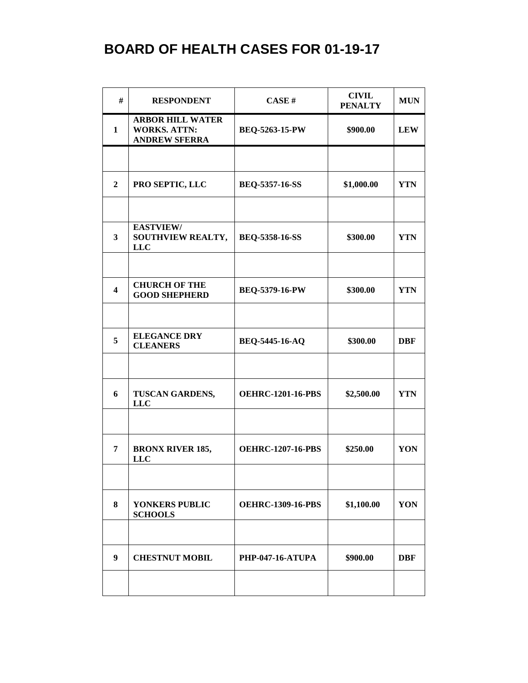| #                       | <b>RESPONDENT</b>                                                      | CASE#                    | <b>CIVIL</b><br><b>PENALTY</b> | <b>MUN</b> |
|-------------------------|------------------------------------------------------------------------|--------------------------|--------------------------------|------------|
| $\mathbf{1}$            | <b>ARBOR HILL WATER</b><br><b>WORKS. ATTN:</b><br><b>ANDREW SFERRA</b> | <b>BEQ-5263-15-PW</b>    | \$900.00                       | <b>LEW</b> |
|                         |                                                                        |                          |                                |            |
| $\mathbf{2}$            | PRO SEPTIC, LLC                                                        | <b>BEQ-5357-16-SS</b>    | \$1,000.00                     | <b>YTN</b> |
| 3                       | <b>EASTVIEW/</b><br>SOUTHVIEW REALTY,<br><b>LLC</b>                    | <b>BEQ-5358-16-SS</b>    | \$300.00                       | <b>YTN</b> |
|                         |                                                                        |                          |                                |            |
| $\overline{\mathbf{4}}$ | <b>CHURCH OF THE</b><br><b>GOOD SHEPHERD</b>                           | BEQ-5379-16-PW           | \$300.00                       | <b>YTN</b> |
| 5                       | <b>ELEGANCE DRY</b><br><b>CLEANERS</b>                                 | <b>BEQ-5445-16-AQ</b>    | \$300.00                       | <b>DBF</b> |
| 6                       | TUSCAN GARDENS,<br><b>LLC</b>                                          | <b>OEHRC-1201-16-PBS</b> | \$2,500.00                     | <b>YTN</b> |
|                         |                                                                        |                          |                                |            |
| 7                       | <b>BRONX RIVER 185,</b><br><b>LLC</b>                                  | <b>OEHRC-1207-16-PBS</b> | \$250.00                       | YON        |
| 8                       | YONKERS PUBLIC<br><b>SCHOOLS</b>                                       | <b>OEHRC-1309-16-PBS</b> | \$1,100.00                     | YON        |
|                         |                                                                        |                          |                                |            |
| $\boldsymbol{9}$        | <b>CHESTNUT MOBIL</b>                                                  | <b>PHP-047-16-ATUPA</b>  | \$900.00                       | <b>DBF</b> |
|                         |                                                                        |                          |                                |            |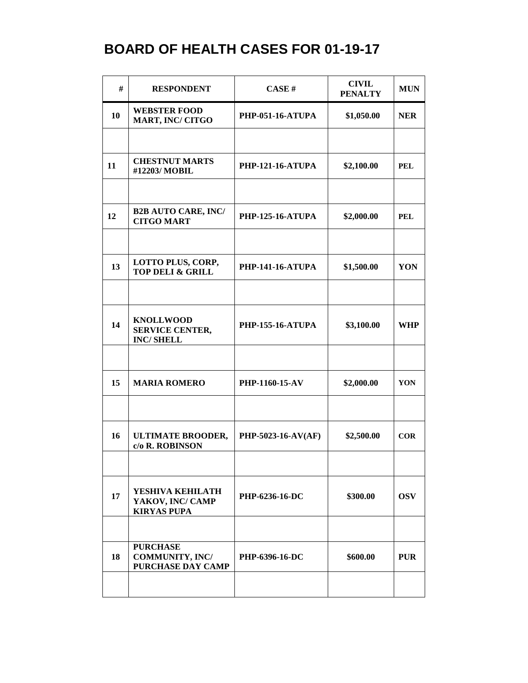| #  | <b>RESPONDENT</b>                                              | CASE#                   | <b>CIVIL</b><br><b>PENALTY</b> | <b>MUN</b> |
|----|----------------------------------------------------------------|-------------------------|--------------------------------|------------|
| 10 | <b>WEBSTER FOOD</b><br><b>MART, INC/ CITGO</b>                 | <b>PHP-051-16-ATUPA</b> | \$1,050.00                     | <b>NER</b> |
|    |                                                                |                         |                                |            |
| 11 | <b>CHESTNUT MARTS</b><br>#12203/MOBIL                          | <b>PHP-121-16-ATUPA</b> | \$2,100.00                     | <b>PEL</b> |
|    |                                                                |                         |                                |            |
| 12 | <b>B2B AUTO CARE, INC/</b><br><b>CITGO MART</b>                | <b>PHP-125-16-ATUPA</b> | \$2,000.00                     | <b>PEL</b> |
|    |                                                                |                         |                                |            |
| 13 | LOTTO PLUS, CORP,<br><b>TOP DELI &amp; GRILL</b>               | <b>PHP-141-16-ATUPA</b> | \$1,500.00                     | YON        |
|    |                                                                |                         |                                |            |
| 14 | <b>KNOLLWOOD</b><br><b>SERVICE CENTER,</b><br><b>INC/SHELL</b> | <b>PHP-155-16-ATUPA</b> | \$3,100.00                     | <b>WHP</b> |
|    |                                                                |                         |                                |            |
| 15 | <b>MARIA ROMERO</b>                                            | PHP-1160-15-AV          | \$2,000.00                     | YON        |
|    |                                                                |                         |                                |            |
| 16 | <b>ULTIMATE BROODER,</b><br>c/o R. ROBINSON                    | PHP-5023-16-AV(AF)      | \$2,500.00                     | COR        |
|    |                                                                |                         |                                |            |
| 17 | YESHIVA KEHILATH<br>YAKOV, INC/ CAMP<br><b>KIRYAS PUPA</b>     | PHP-6236-16-DC          | \$300.00                       | <b>OSV</b> |
|    |                                                                |                         |                                |            |
| 18 | <b>PURCHASE</b><br><b>COMMUNITY, INC/</b><br>PURCHASE DAY CAMP | PHP-6396-16-DC          | \$600.00                       | <b>PUR</b> |
|    |                                                                |                         |                                |            |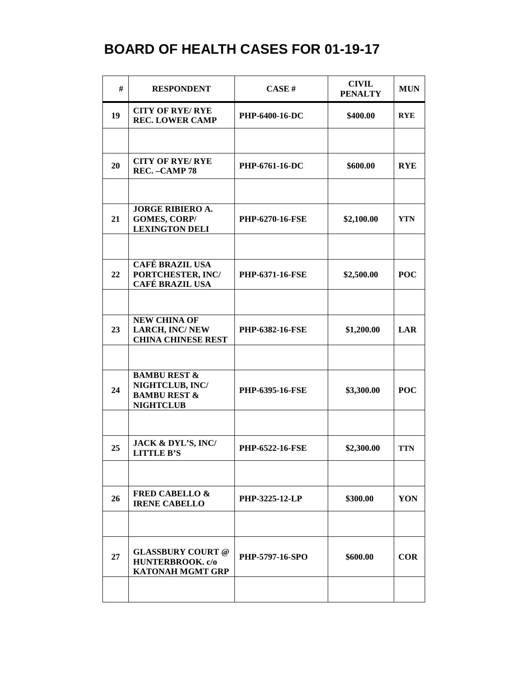| #  | <b>RESPONDENT</b>                                                                         | CASE H                 | <b>CIVIL</b><br><b>PENALTY</b> | <b>MUN</b> |
|----|-------------------------------------------------------------------------------------------|------------------------|--------------------------------|------------|
| 19 | <b>CITY OF RYE/RYE</b><br><b>REC. LOWER CAMP</b>                                          | PHP-6400-16-DC         | \$400.00                       | <b>RYE</b> |
|    |                                                                                           |                        |                                |            |
| 20 | <b>CITY OF RYE/RYE</b><br>REC. - CAMP 78                                                  | PHP-6761-16-DC         | \$600.00                       | <b>RYE</b> |
|    |                                                                                           |                        |                                |            |
| 21 | <b>JORGE RIBIERO A.</b><br><b>GOMES, CORP/</b><br><b>LEXINGTON DELI</b>                   | <b>PHP-6270-16-FSE</b> | \$2,100.00                     | <b>YTN</b> |
|    | <b>CAFÉ BRAZIL USA</b>                                                                    |                        |                                |            |
| 22 | PORTCHESTER, INC/<br><b>CAFÉ BRAZIL USA</b>                                               | PHP-6371-16-FSE        | \$2,500.00                     | <b>POC</b> |
|    |                                                                                           |                        |                                |            |
| 23 | <b>NEW CHINA OF</b><br><b>LARCH, INC/NEW</b><br><b>CHINA CHINESE REST</b>                 | <b>PHP-6382-16-FSE</b> | \$1,200.00                     | LAR        |
|    |                                                                                           |                        |                                |            |
| 24 | <b>BAMBU REST &amp;</b><br>NIGHTCLUB, INC/<br><b>BAMBU REST &amp;</b><br><b>NIGHTCLUB</b> | PHP-6395-16-FSE        | \$3,300.00                     | <b>POC</b> |
|    |                                                                                           |                        |                                |            |
| 25 | JACK & DYL'S, INC/<br><b>LITTLE B'S</b>                                                   | <b>PHP-6522-16-FSE</b> | \$2,300.00                     | <b>TTN</b> |
|    |                                                                                           |                        |                                |            |
| 26 | <b>FRED CABELLO &amp;</b><br><b>IRENE CABELLO</b>                                         | <b>PHP-3225-12-LP</b>  | \$300.00                       | YON        |
|    |                                                                                           |                        |                                |            |
| 27 | <b>GLASSBURY COURT @</b><br>HUNTERBROOK. c/o<br><b>KATONAH MGMT GRP</b>                   | <b>PHP-5797-16-SPO</b> | \$600.00                       | $COR$      |
|    |                                                                                           |                        |                                |            |